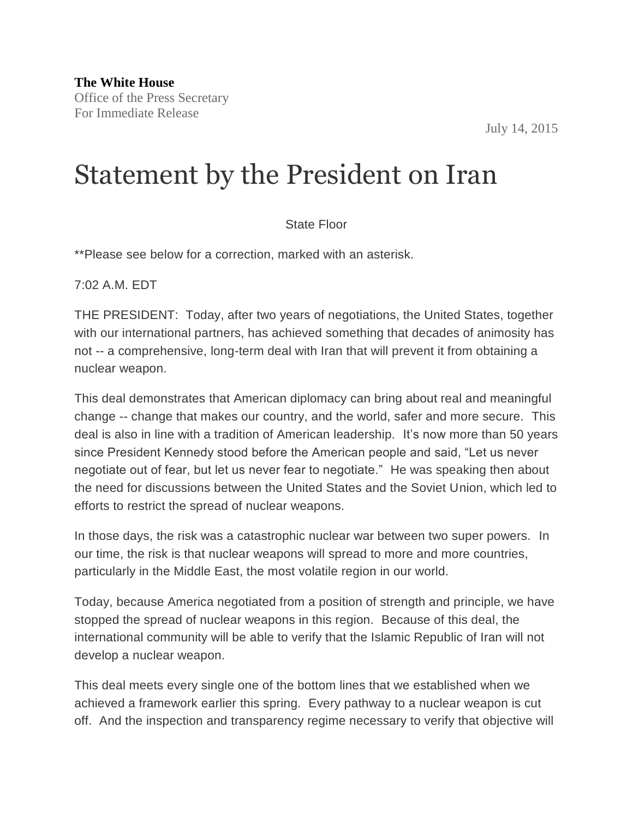## Statement by the President on Iran

## State Floor

\*\*Please see below for a correction, marked with an asterisk.

7:02 A.M. EDT

THE PRESIDENT: Today, after two years of negotiations, the United States, together with our international partners, has achieved something that decades of animosity has not -- a comprehensive, long-term deal with Iran that will prevent it from obtaining a nuclear weapon.

This deal demonstrates that American diplomacy can bring about real and meaningful change -- change that makes our country, and the world, safer and more secure. This deal is also in line with a tradition of American leadership. It's now more than 50 years since President Kennedy stood before the American people and said, "Let us never negotiate out of fear, but let us never fear to negotiate." He was speaking then about the need for discussions between the United States and the Soviet Union, which led to efforts to restrict the spread of nuclear weapons.

In those days, the risk was a catastrophic nuclear war between two super powers. In our time, the risk is that nuclear weapons will spread to more and more countries, particularly in the Middle East, the most volatile region in our world.

Today, because America negotiated from a position of strength and principle, we have stopped the spread of nuclear weapons in this region. Because of this deal, the international community will be able to verify that the Islamic Republic of Iran will not develop a nuclear weapon.

This deal meets every single one of the bottom lines that we established when we achieved a framework earlier this spring. Every pathway to a nuclear weapon is cut off. And the inspection and transparency regime necessary to verify that objective will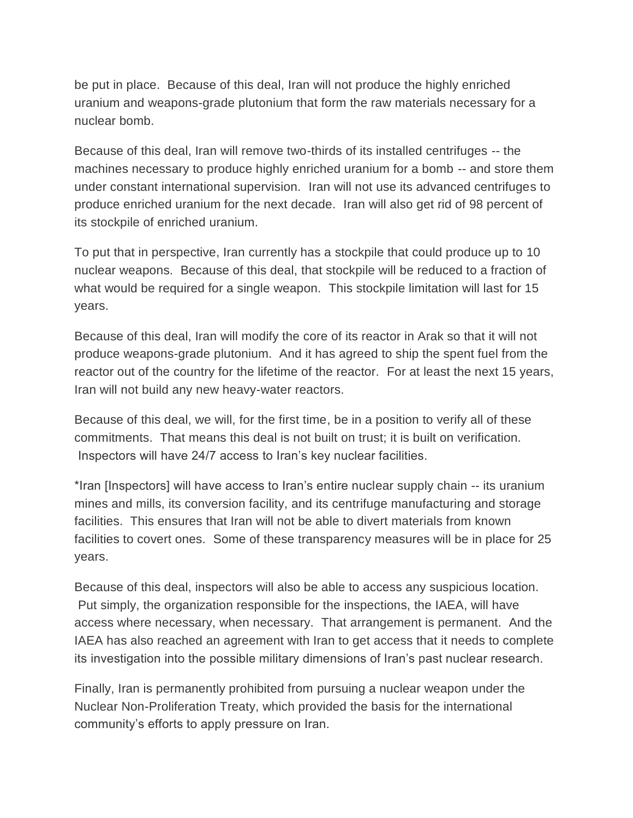be put in place. Because of this deal, Iran will not produce the highly enriched uranium and weapons-grade plutonium that form the raw materials necessary for a nuclear bomb.

Because of this deal, Iran will remove two-thirds of its installed centrifuges -- the machines necessary to produce highly enriched uranium for a bomb -- and store them under constant international supervision. Iran will not use its advanced centrifuges to produce enriched uranium for the next decade. Iran will also get rid of 98 percent of its stockpile of enriched uranium.

To put that in perspective, Iran currently has a stockpile that could produce up to 10 nuclear weapons. Because of this deal, that stockpile will be reduced to a fraction of what would be required for a single weapon. This stockpile limitation will last for 15 years.

Because of this deal, Iran will modify the core of its reactor in Arak so that it will not produce weapons-grade plutonium. And it has agreed to ship the spent fuel from the reactor out of the country for the lifetime of the reactor. For at least the next 15 years, Iran will not build any new heavy-water reactors.

Because of this deal, we will, for the first time, be in a position to verify all of these commitments. That means this deal is not built on trust; it is built on verification. Inspectors will have 24/7 access to Iran's key nuclear facilities.

\*Iran [Inspectors] will have access to Iran's entire nuclear supply chain -- its uranium mines and mills, its conversion facility, and its centrifuge manufacturing and storage facilities. This ensures that Iran will not be able to divert materials from known facilities to covert ones. Some of these transparency measures will be in place for 25 years.

Because of this deal, inspectors will also be able to access any suspicious location. Put simply, the organization responsible for the inspections, the IAEA, will have access where necessary, when necessary. That arrangement is permanent. And the IAEA has also reached an agreement with Iran to get access that it needs to complete its investigation into the possible military dimensions of Iran's past nuclear research.

Finally, Iran is permanently prohibited from pursuing a nuclear weapon under the Nuclear Non-Proliferation Treaty, which provided the basis for the international community's efforts to apply pressure on Iran.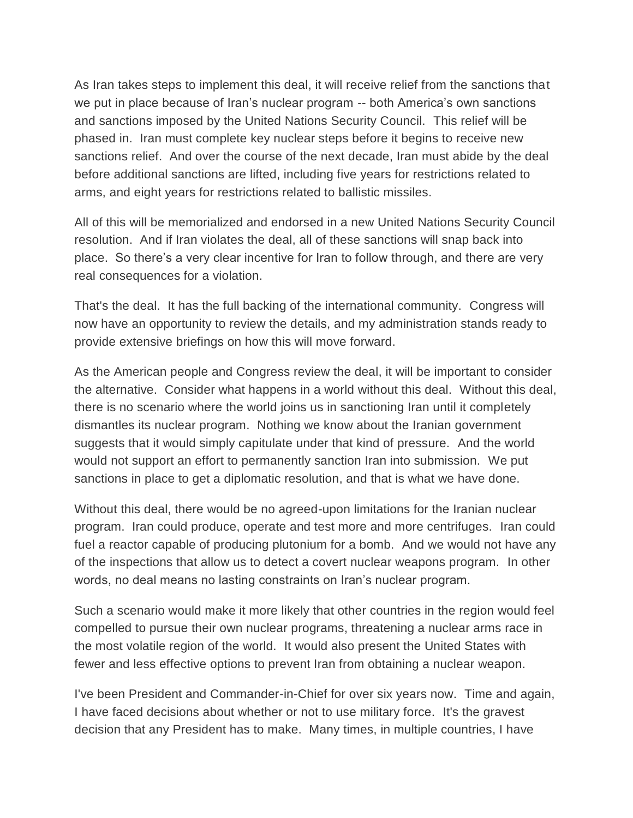As Iran takes steps to implement this deal, it will receive relief from the sanctions that we put in place because of Iran's nuclear program -- both America's own sanctions and sanctions imposed by the United Nations Security Council. This relief will be phased in. Iran must complete key nuclear steps before it begins to receive new sanctions relief. And over the course of the next decade, Iran must abide by the deal before additional sanctions are lifted, including five years for restrictions related to arms, and eight years for restrictions related to ballistic missiles.

All of this will be memorialized and endorsed in a new United Nations Security Council resolution. And if Iran violates the deal, all of these sanctions will snap back into place. So there's a very clear incentive for Iran to follow through, and there are very real consequences for a violation.

That's the deal. It has the full backing of the international community. Congress will now have an opportunity to review the details, and my administration stands ready to provide extensive briefings on how this will move forward.

As the American people and Congress review the deal, it will be important to consider the alternative. Consider what happens in a world without this deal. Without this deal, there is no scenario where the world joins us in sanctioning Iran until it completely dismantles its nuclear program. Nothing we know about the Iranian government suggests that it would simply capitulate under that kind of pressure. And the world would not support an effort to permanently sanction Iran into submission. We put sanctions in place to get a diplomatic resolution, and that is what we have done.

Without this deal, there would be no agreed-upon limitations for the Iranian nuclear program. Iran could produce, operate and test more and more centrifuges. Iran could fuel a reactor capable of producing plutonium for a bomb. And we would not have any of the inspections that allow us to detect a covert nuclear weapons program. In other words, no deal means no lasting constraints on Iran's nuclear program.

Such a scenario would make it more likely that other countries in the region would feel compelled to pursue their own nuclear programs, threatening a nuclear arms race in the most volatile region of the world. It would also present the United States with fewer and less effective options to prevent Iran from obtaining a nuclear weapon.

I've been President and Commander-in-Chief for over six years now. Time and again, I have faced decisions about whether or not to use military force. It's the gravest decision that any President has to make. Many times, in multiple countries, I have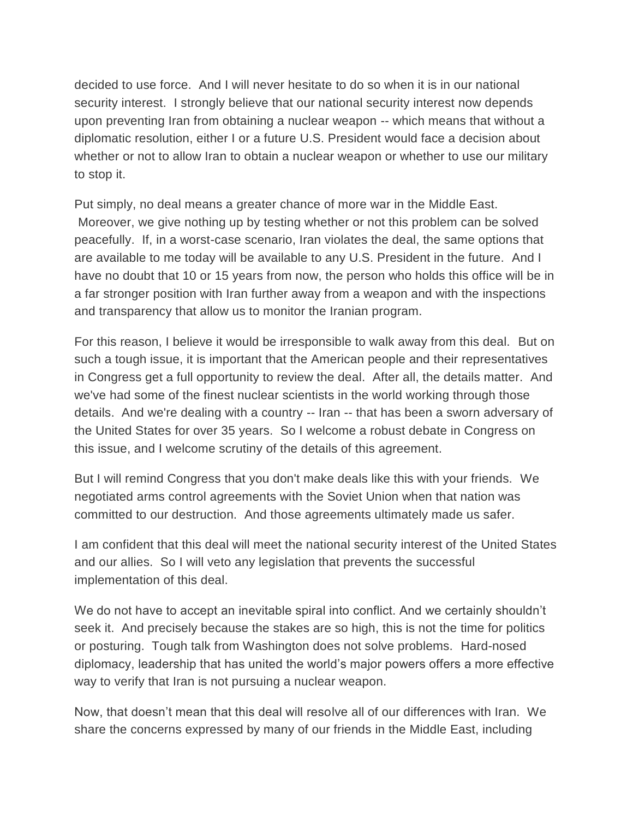decided to use force. And I will never hesitate to do so when it is in our national security interest. I strongly believe that our national security interest now depends upon preventing Iran from obtaining a nuclear weapon -- which means that without a diplomatic resolution, either I or a future U.S. President would face a decision about whether or not to allow Iran to obtain a nuclear weapon or whether to use our military to stop it.

Put simply, no deal means a greater chance of more war in the Middle East. Moreover, we give nothing up by testing whether or not this problem can be solved peacefully. If, in a worst-case scenario, Iran violates the deal, the same options that are available to me today will be available to any U.S. President in the future. And I have no doubt that 10 or 15 years from now, the person who holds this office will be in a far stronger position with Iran further away from a weapon and with the inspections and transparency that allow us to monitor the Iranian program.

For this reason, I believe it would be irresponsible to walk away from this deal. But on such a tough issue, it is important that the American people and their representatives in Congress get a full opportunity to review the deal. After all, the details matter. And we've had some of the finest nuclear scientists in the world working through those details. And we're dealing with a country -- Iran -- that has been a sworn adversary of the United States for over 35 years. So I welcome a robust debate in Congress on this issue, and I welcome scrutiny of the details of this agreement.

But I will remind Congress that you don't make deals like this with your friends. We negotiated arms control agreements with the Soviet Union when that nation was committed to our destruction. And those agreements ultimately made us safer.

I am confident that this deal will meet the national security interest of the United States and our allies. So I will veto any legislation that prevents the successful implementation of this deal.

We do not have to accept an inevitable spiral into conflict. And we certainly shouldn't seek it. And precisely because the stakes are so high, this is not the time for politics or posturing. Tough talk from Washington does not solve problems. Hard-nosed diplomacy, leadership that has united the world's major powers offers a more effective way to verify that Iran is not pursuing a nuclear weapon.

Now, that doesn't mean that this deal will resolve all of our differences with Iran. We share the concerns expressed by many of our friends in the Middle East, including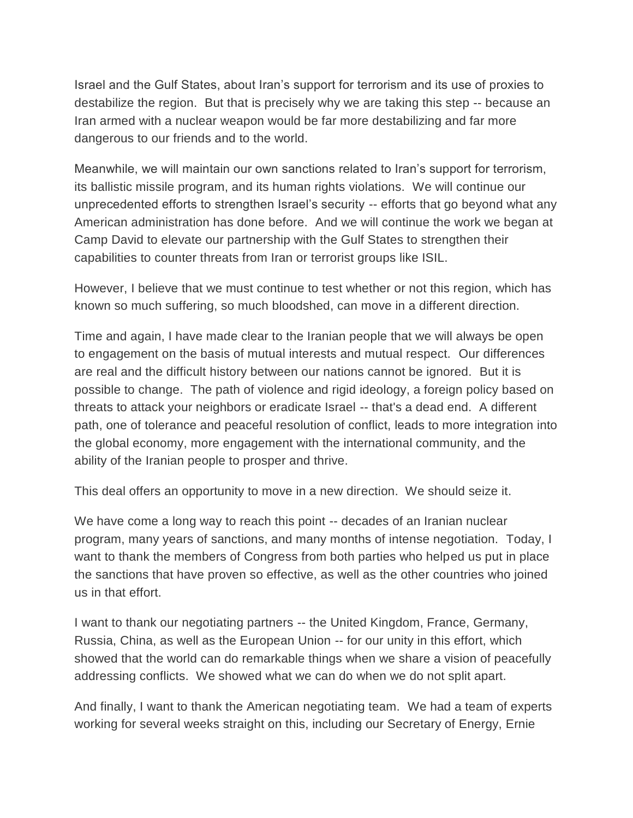Israel and the Gulf States, about Iran's support for terrorism and its use of proxies to destabilize the region. But that is precisely why we are taking this step -- because an Iran armed with a nuclear weapon would be far more destabilizing and far more dangerous to our friends and to the world.

Meanwhile, we will maintain our own sanctions related to Iran's support for terrorism, its ballistic missile program, and its human rights violations. We will continue our unprecedented efforts to strengthen Israel's security -- efforts that go beyond what any American administration has done before. And we will continue the work we began at Camp David to elevate our partnership with the Gulf States to strengthen their capabilities to counter threats from Iran or terrorist groups like ISIL.

However, I believe that we must continue to test whether or not this region, which has known so much suffering, so much bloodshed, can move in a different direction.

Time and again, I have made clear to the Iranian people that we will always be open to engagement on the basis of mutual interests and mutual respect. Our differences are real and the difficult history between our nations cannot be ignored. But it is possible to change. The path of violence and rigid ideology, a foreign policy based on threats to attack your neighbors or eradicate Israel -- that's a dead end. A different path, one of tolerance and peaceful resolution of conflict, leads to more integration into the global economy, more engagement with the international community, and the ability of the Iranian people to prosper and thrive.

This deal offers an opportunity to move in a new direction. We should seize it.

We have come a long way to reach this point -- decades of an Iranian nuclear program, many years of sanctions, and many months of intense negotiation. Today, I want to thank the members of Congress from both parties who helped us put in place the sanctions that have proven so effective, as well as the other countries who joined us in that effort.

I want to thank our negotiating partners -- the United Kingdom, France, Germany, Russia, China, as well as the European Union -- for our unity in this effort, which showed that the world can do remarkable things when we share a vision of peacefully addressing conflicts. We showed what we can do when we do not split apart.

And finally, I want to thank the American negotiating team. We had a team of experts working for several weeks straight on this, including our Secretary of Energy, Ernie